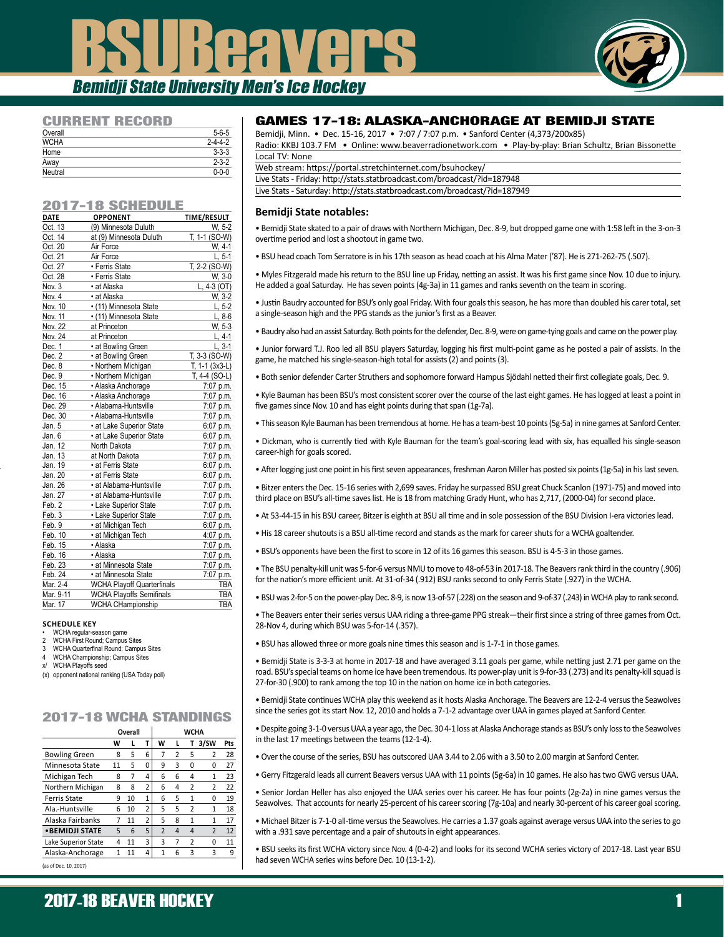# **SUBERVERS** Bemidji State University Men's Ice Hockey



### CURRENT RECORD

| ___________________ |                 |
|---------------------|-----------------|
| Overall             | $5 - 6 - 5$     |
| <b>WCHA</b>         | $2 - 4 - 4 - 2$ |
| Home                | $3 - 3 - 3$     |
| Away                | $2 - 3 - 2$     |
| Neutral             | $0 - 0 - 0$     |
|                     |                 |

#### 2017-18 SCHEDULE

| <b>DATE</b> | <b>OPPONENT</b>                   | <b>TIME/RESULT</b> |
|-------------|-----------------------------------|--------------------|
| Oct. 13     | (9) Minnesota Duluth              | W. 5-2             |
| Oct. 14     | at (9) Minnesota Duluth           | T, 1-1 (SO-W)      |
| Oct. 20     | Air Force                         | W. 4-1             |
| Oct. 21     | Air Force                         | $L, 5-1$           |
| Oct. 27     | • Ferris State                    | T, 2-2 (SO-W)      |
| Oct. 28     | • Ferris State                    | W, 3-0             |
| Nov. 3      | • at Alaska                       | $L, 4-3 (OT)$      |
| Nov. 4      | • at Alaska                       | W, 3-2             |
| Nov. 10     | • (11) Minnesota State            | $L, 5-2$           |
| Nov. 11     | • (11) Minnesota State            | $L, 8-6$           |
| Nov. 22     | at Princeton                      | W, 5-3             |
| Nov. 24     | at Princeton                      | $L, 4-1$           |
| Dec. 1      | • at Bowling Green                | $L, 3-1$           |
| Dec. 2      | • at Bowling Green                | T, 3-3 (SO-W)      |
| Dec. 8      | • Northern Michigan               | $T, 1-1$ (3x3-L)   |
| Dec. 9      | • Northern Michigan               | T, 4-4 (SO-L)      |
| Dec. 15     | · Alaska Anchorage                | 7:07 p.m.          |
| Dec. 16     | · Alaska Anchorage                | 7:07 p.m.          |
| Dec. 29     | · Alabama-Huntsville              | 7:07 p.m.          |
| Dec. 30     | · Alabama-Huntsville              | 7:07 p.m.          |
| Jan. 5      | • at Lake Superior State          | 6:07 p.m.          |
| Jan, 6      | · at Lake Superior State          | 6:07 p.m.          |
| Jan. 12     | North Dakota                      | 7:07 p.m.          |
| Jan. 13     | at North Dakota                   | 7:07 p.m.          |
| Jan. 19     | · at Ferris State                 | 6:07 p.m.          |
| Jan. 20     | • at Ferris State                 | 6:07 p.m.          |
| Jan. 26     | • at Alabama-Huntsville           | 7:07 p.m.          |
| Jan. 27     | • at Alabama-Huntsville           | 7:07 p.m.          |
| Feb. 2      | • Lake Superior State             | 7:07 p.m.          |
| Feb. 3      | • Lake Superior State             | 7:07 p.m.          |
| Feb. 9      | • at Michigan Tech                | 6:07 p.m.          |
| Feb. 10     | • at Michigan Tech                | 4:07 p.m.          |
| Feb. 15     | • Alaska                          | 7:07 p.m.          |
| Feb. 16     | · Alaska                          | 7:07 p.m.          |
| Feb. 23     | • at Minnesota State              | 7:07 p.m.          |
| Feb. 24     | • at Minnesota State              | 7:07 p.m.          |
| Mar. 2-4    | <b>WCHA Playoff Quarterfinals</b> | <b>TBA</b>         |
| Mar. 9-11   | <b>WCHA Playoffs Semifinals</b>   | TBA                |
| Mar. 17     | <b>WCHA CHampionship</b>          | <b>TBA</b>         |

#### **SCHEDULE KEY**

#### • WCHA regular-season game

- 2 WCHA First Round; Campus Sites<br>3 WCHA Quarterfinal Round: Campu WCHA Quarterfinal Round: Campus Sites
- 4 WCHA Championship; Campus Sites<br>x/ WCHA Plavoffs seed
- x/ WCHA Playoffs seed
- (x) opponent national ranking (USA Today poll)

# 2017-18 WCHA STANDINGS

|                        |    | Overall |                | <b>WCHA</b>    |                |                |                         |     |
|------------------------|----|---------|----------------|----------------|----------------|----------------|-------------------------|-----|
|                        | w  | L       | т              | W              | L              | т              | 3/SW                    | Pts |
| <b>Bowling Green</b>   | 8  | 5       | 6              | 7              | 2              | 5              | 2                       | 28  |
| Minnesota State        | 11 | 5       | 0              | 9              | 3              | 0              | 0                       | 27  |
| Michigan Tech          | 8  | 7       | 4              | 6              | 6              | 4              | 1                       | 23  |
| Northern Michigan      | 8  | 8       | $\overline{2}$ | 6              | 4              | 2              | 2                       | 22  |
| Ferris State           | q  | 10      | 1              | 6              | 5              | $\mathbf{1}$   | 0                       | 19  |
| Ala.-Huntsville        | 6  | 10      | $\overline{2}$ | 5              | 5              | $\overline{2}$ | 1                       | 18  |
| Alaska Fairbanks       | 7  | 11      | $\overline{2}$ | 5              | 8              | $\mathbf{1}$   | 1                       | 17  |
| <b>• BEMIDJI STATE</b> | 5  | 6       | 5              | $\overline{2}$ | $\overline{4}$ | $\overline{4}$ | $\overline{2}$          | 12  |
| Lake Superior State    | 4  | 11      | 3              | 3              | 7              | 2              | ŋ                       | 11  |
| Alaska-Anchorage       | 1  | 11      | 4              | 1              | 6              | 3              | $\overline{\mathbf{3}}$ | 9   |
|                        |    |         |                |                |                |                |                         |     |

(as of Dec. 10, 2017)

### GAMES 17-18: ALASKA-ANCHORAGE AT BEMIDJI STATE

Bemidji, Minn. • Dec. 15-16, 2017 • 7:07 / 7:07 p.m. • Sanford Center (4,373/200x85)

Radio: KKBJ 103.7 FM • Online: www.beaverradionetwork.com • Play-by-play: Brian Schultz, Brian Bissonette Local TV: None

| Web stream: https://portal.stretchinternet.com/bsuhockey/                  |
|----------------------------------------------------------------------------|
| Live Stats - Friday: http://stats.statbroadcast.com/broadcast/?id=187948   |
| Live Stats - Saturday: http://stats.statbroadcast.com/broadcast/?id=187949 |
|                                                                            |

#### **Bemidji State notables:**

• Bemidji State skated to a pair of draws with Northern Michigan, Dec. 8-9, but dropped game one with 1:58 left in the 3-on-3 overtime period and lost a shootout in game two.

• BSU head coach Tom Serratore is in his 17th season as head coach at his Alma Mater ('87). He is 271-262-75 (.507).

• Myles Fitzgerald made his return to the BSU line up Friday, netting an assist. It was his first game since Nov. 10 due to injury. He added a goal Saturday. He has seven points (4g-3a) in 11 games and ranks seventh on the team in scoring.

• Justin Baudry accounted for BSU's only goal Friday. With four goals this season, he has more than doubled his carer total, set a single-season high and the PPG stands as the junior's first as a Beaver.

• Baudry also had an assist Saturday. Both points for the defender, Dec. 8-9, were on game-tying goals and came on the power play.

• Junior forward T.J. Roo led all BSU players Saturday, logging his first multi-point game as he posted a pair of assists. In the game, he matched his single-season-high total for assists (2) and points (3).

• Both senior defender Carter Struthers and sophomore forward Hampus Sjödahl netted their first collegiate goals, Dec. 9.

• Kyle Bauman has been BSU's most consistent scorer over the course of the last eight games. He has logged at least a point in five games since Nov. 10 and has eight points during that span (1g-7a).

- This season Kyle Bauman has been tremendous at home. He has a team-best 10 points (5g-5a) in nine games at Sanford Center.
- Dickman, who is currently tied with Kyle Bauman for the team's goal-scoring lead with six, has equalled his single-season career-high for goals scored.
- After logging just one point in his first seven appearances, freshman Aaron Miller has posted six points (1g-5a) in his last seven.

• Bitzer enters the Dec. 15-16 series with 2,699 saves. Friday he surpassed BSU great Chuck Scanlon (1971-75) and moved into third place on BSU's all-time saves list. He is 18 from matching Grady Hunt, who has 2,717, (2000-04) for second place.

- At 53-44-15 in his BSU career, Bitzer is eighth at BSU all time and in sole possession of the BSU Division I-era victories lead.
- His 18 career shutouts is a BSU all-time record and stands as the mark for career shuts for a WCHA goaltender.
- BSU's opponents have been the first to score in 12 of its 16 games this season. BSU is 4-5-3 in those games.
- The BSU penalty-kill unit was 5-for-6 versus NMU to move to 48-of-53 in 2017-18. The Beavers rank third in the country (.906) for the nation's more efficient unit. At 31-of-34 (.912) BSU ranks second to only Ferris State (.927) in the WCHA.
- BSU was 2-for-5 on the power-play Dec. 8-9, is now 13-of-57 (.228) on the season and 9-of-37 (.243) in WCHA play to rank second.

• The Beavers enter their series versus UAA riding a three-game PPG streak—their first since a string of three games from Oct. 28-Nov 4, during which BSU was 5-for-14 (.357).

• BSU has allowed three or more goals nine times this season and is 1-7-1 in those games.

• Bemidji State is 3-3-3 at home in 2017-18 and have averaged 3.11 goals per game, while netting just 2.71 per game on the road. BSU's special teams on home ice have been tremendous. Its power-play unit is 9-for-33 (.273) and its penalty-kill squad is 27-for-30 (.900) to rank among the top 10 in the nation on home ice in both categories.

• Bemidji State continues WCHA play this weekend as it hosts Alaska Anchorage. The Beavers are 12-2-4 versus the Seawolves since the series got its start Nov. 12, 2010 and holds a 7-1-2 advantage over UAA in games played at Sanford Center.

• Despite going 3-1-0 versus UAA a year ago, the Dec. 30 4-1 loss at Alaska Anchorage stands as BSU's only loss to the Seawolves in the last 17 meetings between the teams (12-1-4).

- Over the course of the series, BSU has outscored UAA 3.44 to 2.06 with a 3.50 to 2.00 margin at Sanford Center.
- Gerry Fitzgerald leads all current Beavers versus UAA with 11 points (5g-6a) in 10 games. He also has two GWG versus UAA.
- Senior Jordan Heller has also enjoyed the UAA series over his career. He has four points (2g-2a) in nine games versus the Seawolves. That accounts for nearly 25-percent of his career scoring (7g-10a) and nearly 30-percent of his career goal scoring.

• Michael Bitzer is 7-1-0 all-time versus the Seawolves. He carries a 1.37 goals against average versus UAA into the series to go with a .931 save percentage and a pair of shutouts in eight appearances.

• BSU seeks its first WCHA victory since Nov. 4 (0-4-2) and looks for its second WCHA series victory of 2017-18. Last year BSU had seven WCHA series wins before Dec. 10 (13-1-2).

# 2017-18 BEAVER HOCKEY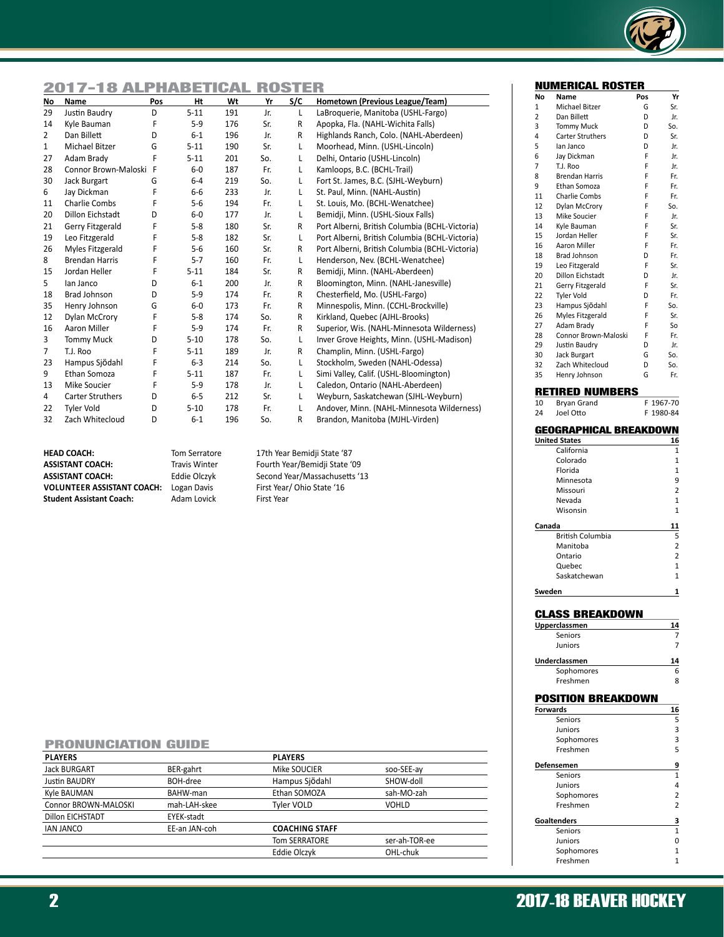

# 2017-18 ALPHABETICAL ROSTER

| No             | Name                    | Pos | Ht       | Wt  | Yr  | S/C          | Hometown (Previous League/Team)                |
|----------------|-------------------------|-----|----------|-----|-----|--------------|------------------------------------------------|
| 29             | Justin Baudry           | D   | $5 - 11$ | 191 | Jr. | L            | LaBroquerie, Manitoba (USHL-Fargo)             |
| 14             | Kyle Bauman             | F   | $5-9$    | 176 | Sr. | R            | Apopka, Fla. (NAHL-Wichita Falls)              |
| $\overline{2}$ | Dan Billett             | D   | $6 - 1$  | 196 | Jr. | R            | Highlands Ranch, Colo. (NAHL-Aberdeen)         |
| $\mathbf{1}$   | Michael Bitzer          | G   | $5 - 11$ | 190 | Sr. | L            | Moorhead, Minn. (USHL-Lincoln)                 |
| 27             | Adam Brady              | F   | $5 - 11$ | 201 | So. | L.           | Delhi, Ontario (USHL-Lincoln)                  |
| 28             | Connor Brown-Maloski F  |     | $6-0$    | 187 | Fr. | L            | Kamloops, B.C. (BCHL-Trail)                    |
| 30             | Jack Burgart            | G   | $6 - 4$  | 219 | So. | L            | Fort St. James, B.C. (SJHL-Weyburn)            |
| 6              | Jay Dickman             | F   | $6-6$    | 233 | Jr. | L            | St. Paul, Minn. (NAHL-Austin)                  |
| 11             | Charlie Combs           | F   | $5-6$    | 194 | Fr. | L            | St. Louis, Mo. (BCHL-Wenatchee)                |
| 20             | <b>Dillon Eichstadt</b> | D   | $6-0$    | 177 | Jr. | L            | Bemidji, Minn. (USHL-Sioux Falls)              |
| 21             | Gerry Fitzgerald        | F   | $5 - 8$  | 180 | Sr. | R            | Port Alberni, British Columbia (BCHL-Victoria) |
| 19             | Leo Fitzgerald          | F   | $5 - 8$  | 182 | Sr. | Г            | Port Alberni, British Columbia (BCHL-Victoria) |
| 26             | Myles Fitzgerald        | F   | $5-6$    | 160 | Sr. | R            | Port Alberni, British Columbia (BCHL-Victoria) |
| 8              | <b>Brendan Harris</b>   | F   | $5 - 7$  | 160 | Fr. | Г            | Henderson, Nev. (BCHL-Wenatchee)               |
| 15             | Jordan Heller           | F   | $5 - 11$ | 184 | Sr. | R            | Bemidji, Minn. (NAHL-Aberdeen)                 |
| 5              | lan Janco               | D   | $6 - 1$  | 200 | Jr. | R            | Bloomington, Minn. (NAHL-Janesville)           |
| 18             | <b>Brad Johnson</b>     | D   | $5-9$    | 174 | Fr. | R            | Chesterfield, Mo. (USHL-Fargo)                 |
| 35             | Henry Johnson           | G   | $6-0$    | 173 | Fr. | R            | Minnespolis, Minn. (CCHL-Brockville)           |
| 12             | Dylan McCrory           | F   | $5 - 8$  | 174 | So. | $\mathsf{R}$ | Kirkland, Quebec (AJHL-Brooks)                 |
| 16             | Aaron Miller            | F   | $5-9$    | 174 | Fr. | R            | Superior, Wis. (NAHL-Minnesota Wilderness)     |
| 3              | <b>Tommy Muck</b>       | D   | $5 - 10$ | 178 | So. | Г            | Inver Grove Heights, Minn. (USHL-Madison)      |
| $\overline{7}$ | T.J. Roo                | F   | $5 - 11$ | 189 | Jr. | R            | Champlin, Minn. (USHL-Fargo)                   |
| 23             | Hampus Sjödahl          | F   | $6 - 3$  | 214 | So. | Г            | Stockholm, Sweden (NAHL-Odessa)                |
| 9              | Ethan Somoza            | F   | $5 - 11$ | 187 | Fr. | L            | Simi Valley, Calif. (USHL-Bloomington)         |
| 13             | Mike Soucier            | F   | $5-9$    | 178 | Jr. | L            | Caledon, Ontario (NAHL-Aberdeen)               |
| 4              | <b>Carter Struthers</b> | D   | $6 - 5$  | 212 | Sr. | L            | Weyburn, Saskatchewan (SJHL-Weyburn)           |
| 22             | <b>Tyler Vold</b>       | D   | $5 - 10$ | 178 | Fr. | L            | Andover, Minn. (NAHL-Minnesota Wilderness)     |
| 32             | Zach Whitecloud         | D   | $6 - 1$  | 196 | So. | R            | Brandon, Manitoba (MJHL-Virden)                |

**HEAD COACH:** Tom Serratore 17th Year Bemidji State '87<br> **ASSISTANT COACH:** Travis Winter Fourth Year/Bemidji State 'C **ASSISTANT COACH:** Travis Winter Fourth Year/Bemidji State '09 **VOLUNTEER ASSISTANT COACH:** Logan Davis Student Assistant Coach: Adam Lovick First Year

Second Year/Massachusetts '13<br>First Year/ Ohio State '16

#### PRONUNCIATION GUIDE

| <b>PLAYERS</b>       |               | <b>PLAYERS</b>        |               |
|----------------------|---------------|-----------------------|---------------|
| <b>Jack BURGART</b>  | BER-gahrt     | Mike SOUCIER          | soo-SEE-ay    |
| <b>Justin BAUDRY</b> | BOH-dree      | Hampus Sjödahl        | SHOW-doll     |
| Kyle BAUMAN          | BAHW-man      | Ethan SOMOZA          | sah-MO-zah    |
| Connor BROWN-MALOSKI | mah-LAH-skee  | Tyler VOLD            | <b>VOHLD</b>  |
| Dillon EICHSTADT     | EYEK-stadt    |                       |               |
| <b>IAN JANCO</b>     | EE-an JAN-coh | <b>COACHING STAFF</b> |               |
|                      |               | <b>Tom SERRATORE</b>  | ser-ah-TOR-ee |
|                      |               | Eddie Olczyk          | OHL-chuk      |
|                      |               |                       |               |

|  | <b>2017-18 BEAVER HOCKEY</b> |
|--|------------------------------|
|--|------------------------------|

#### NUMERICAL ROSTER

| No              | Name                          | Pos | Yr             |
|-----------------|-------------------------------|-----|----------------|
| 1               | Michael Bitzer                | G   | Sr.            |
| 2               | Dan Billett                   | D   | Jr.            |
| 3               | Tommy Muck                    | D   | So.            |
| 4               | <b>Carter Struthers</b>       | D   | Sr.            |
| 5               | lan Janco                     | D   | Jr.            |
| 6               | Jay Dickman                   | F   | Jr.            |
| 7               | T.J. Roo                      | F   | Jr.            |
| 8               | <b>Brendan Harris</b>         | F   | Fr.            |
| 9               | Ethan Somoza                  | F   | Fr.            |
| 11              | <b>Charlie Combs</b>          | F   | Fr.            |
| 12              | Dylan McCrory                 | F   | So.            |
| 13              | Mike Soucier                  | F   | Jr.            |
| 14              | Kvle Bauman                   | F   | Sr.            |
| 15              | Jordan Heller                 | F   | Sr.            |
| 16              | Aaron Miller                  | F   | Fr.            |
| 18              | <b>Brad Johnson</b>           | D   | Fr.            |
| 19              | Leo Fitzgerald                | F   | Sr.            |
| 20              | Dillon Eichstadt              | D   | Jr.            |
| 21              | Gerry Fitzgerald              | F   | Sr.            |
| 22              | <b>Tyler Vold</b>             | D   | Fr.            |
| 23              | Hampus Sjödahl                | F   | So.            |
| 26              | Myles Fitzgerald              | F   | Sr.            |
| 27              | Adam Brady                    | F   | So             |
| 28              | Connor Brown-Maloski          | F   | Fr.            |
| 29              | Justin Baudry                 | D   | Jr.            |
| 30              | <b>Jack Burgart</b>           | G   | So.            |
| 32              | Zach Whitecloud               | D   | So.            |
| 35              | Henry Johnson                 | G   | Fr.            |
|                 |                               |     |                |
|                 | RETIRED NUMBERS               |     |                |
| 10              | Bryan Grand                   | F   | 1967-70        |
| 24              | Joel Otto                     | F   | 1980-84        |
|                 |                               |     |                |
|                 |                               |     |                |
|                 | <b>GEOGRAPHICAL BREAKDOWN</b> |     |                |
|                 | <b>United States</b>          |     | 16             |
|                 | California                    |     | 1              |
|                 | Colorado                      |     | 1              |
|                 | Florida                       |     | $\overline{1}$ |
|                 | Minnesota                     |     | 9              |
|                 | Missouri                      |     | 2              |
|                 | Nevada                        |     | 1              |
|                 | Wisonsin                      |     | 1              |
|                 |                               |     | 11             |
| Canada          | British Columbia              |     | 5              |
|                 | Manitoba                      |     | 2              |
|                 | Ontario                       |     | 2              |
|                 | Quebec                        |     | 1              |
|                 | Saskatchewan                  |     | 1              |
|                 |                               |     |                |
| Sweden          |                               |     | 1              |
|                 |                               |     |                |
|                 | CLASS BREAKDOWN               |     |                |
|                 | <u>Upperclassmen</u>          |     | 14             |
|                 | Seniors                       |     | 7              |
|                 | Juniors                       |     | 7              |
|                 |                               |     | 14             |
|                 | Underclassmen<br>Sophomores   |     | 6              |
|                 | Freshmen                      |     | 8              |
|                 |                               |     |                |
|                 | POSITION BREAKDOWN            |     |                |
|                 |                               |     | 16             |
| <b>Forwards</b> | Seniors                       |     | 5              |
|                 | Juniors                       |     | 3              |
|                 | Sophomores<br>Freshmen        |     | 3<br>5         |

| Freshmen           |                |
|--------------------|----------------|
| Defensemen         | 9              |
| Seniors            |                |
| <b>Juniors</b>     | 4              |
| Sophomores         | $\overline{2}$ |
| Freshmen           | $\overline{2}$ |
| <b>Goaltenders</b> | 3              |
| Seniors            | $\mathbf{1}$   |
| <b>Juniors</b>     |                |
| Sophomores         |                |
| Freshmen           |                |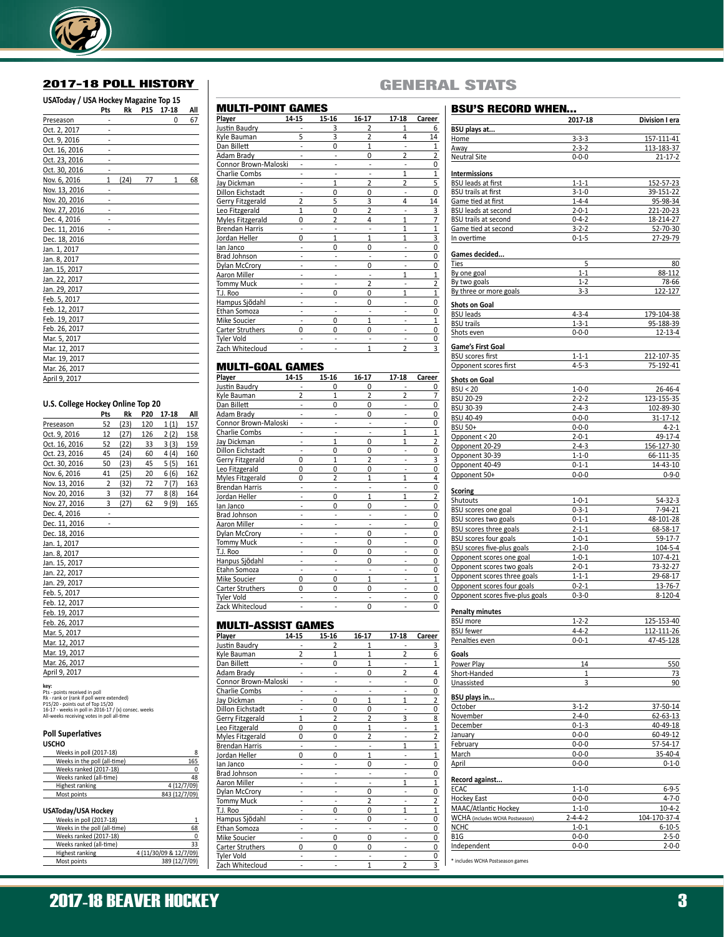

### 2017-18 POLL HISTORY

| USAToday / USA Hockey Magazine Top 15 |                |      |            |           |     |
|---------------------------------------|----------------|------|------------|-----------|-----|
|                                       | Pts            | Rk   | <b>P15</b> | $17 - 18$ | All |
| Preseason                             |                |      |            | 0         | 67  |
| Oct. 2, 2017                          |                |      |            |           |     |
| Oct. 9, 2016                          |                |      |            |           |     |
| Oct. 16, 2016                         |                |      |            |           |     |
| Oct. 23, 2016                         |                |      |            |           |     |
| Oct. 30, 2016                         |                |      |            |           |     |
| Nov. 6, 2016                          | $\overline{1}$ | (24) | 77         | 1         | 68  |
| Nov. 13, 2016                         |                |      |            |           |     |
| Nov. 20, 2016                         |                |      |            |           |     |
| Nov. 27, 2016                         |                |      |            |           |     |
| Dec. 4, 2016                          |                |      |            |           |     |
| Dec. 11, 2016                         |                |      |            |           |     |
| Dec. 18, 2016                         |                |      |            |           |     |
| Jan. 1, 2017                          |                |      |            |           |     |
| Jan. 8, 2017                          |                |      |            |           |     |
| Jan. 15, 2017                         |                |      |            |           |     |
| Jan. 22, 2017                         |                |      |            |           |     |
| Jan. 29, 2017                         |                |      |            |           |     |
| Feb. 5, 2017                          |                |      |            |           |     |
| Feb. 12, 2017                         |                |      |            |           |     |
| Feb. 19, 2017                         |                |      |            |           |     |
| Feb. 26, 2017                         |                |      |            |           |     |
| Mar. 5, 2017                          |                |      |            |           |     |
| Mar. 12, 2017                         |                |      |            |           |     |
| Mar. 19, 2017                         |                |      |            |           |     |
| Mar. 26, 2017                         |                |      |            |           |     |
| April 9, 2017                         |                |      |            |           |     |

#### **U.S. College Hockey Online Top 20**

|               | Pts | Rk   | P20 | 17-18 | All |
|---------------|-----|------|-----|-------|-----|
| Preseason     | 52  | (23) | 120 | 1(1)  | 157 |
| Oct. 9, 2016  | 12  | (27) | 126 | 2(2)  | 158 |
| Oct. 16, 2016 | 52  | (22) | 33  | 3(3)  | 159 |
| Oct. 23, 2016 | 45  | (24) | 60  | 4(4)  | 160 |
| Oct. 30, 2016 | 50  | (23) | 45  | 5(5)  | 161 |
| Nov. 6, 2016  | 41  | (25) | 20  | 6(6)  | 162 |
| Nov. 13, 2016 | 2   | (32) | 72  | 7(7)  | 163 |
| Nov. 20, 2016 | 3   | (32) | 77  | 8(8)  | 164 |
| Nov. 27, 2016 | 3   | (27) | 62  | 9 (9) | 165 |
| Dec. 4, 2016  |     |      |     |       |     |
| Dec. 11, 2016 |     |      |     |       |     |
| Dec. 18, 2016 |     |      |     |       |     |
| Jan. 1, 2017  |     |      |     |       |     |
| Jan. 8, 2017  |     |      |     |       |     |
| Jan. 15, 2017 |     |      |     |       |     |
| Jan. 22, 2017 |     |      |     |       |     |
| Jan. 29, 2017 |     |      |     |       |     |
| Feb. 5, 2017  |     |      |     |       |     |
| Feb. 12, 2017 |     |      |     |       |     |
| Feb. 19, 2017 |     |      |     |       |     |
| Feb. 26, 2017 |     |      |     |       |     |
| Mar. 5, 2017  |     |      |     |       |     |
| Mar. 12, 2017 |     |      |     |       |     |
| Mar. 19, 2017 |     |      |     |       |     |
| Mar. 26, 2017 |     |      |     |       |     |
| April 9, 2017 |     |      |     |       |     |

**key:**<br>Pts - points received in poll<br>Rk - rank or (rank if poll were extended)<br>P15/20 - points out of Top 15/20<br>16-17 - weeks in poll in 2016-17 / (x) consec. weeks<br>All-weeks receiving votes in poll all-time

#### **Poll Superlatives USCHO**

| Weeks in poll (2017-18)      | 8             |
|------------------------------|---------------|
| Weeks in the poll (all-time) | 165           |
| Weeks ranked (2017-18)       | 0             |
| Weeks ranked (all-time)      | 48            |
| Highest ranking              | 4(12/7/09)    |
| Most points                  | 843 (12/7/09) |
| USAToday/USA Hockey          |               |
| Weeks in poll (2017-18)      |               |
|                              |               |

| <b>INCORD III DOIL (COT) TO)</b> |                        |
|----------------------------------|------------------------|
| Weeks in the poll (all-time)     | 68                     |
| Weeks ranked (2017-18)           | Ω                      |
| Weeks ranked (all-time)          | 33                     |
| Highest ranking                  | 4 (11/30/09 & 12/7/09) |
| Most points                      | 389 (12/7/09)          |

## TI\_POINT GAMES

| IVIULI I-PUIN I       | GAMES          |                |                          |                |                |
|-----------------------|----------------|----------------|--------------------------|----------------|----------------|
| <b>Player</b>         | 14-15          | 15-16          | 16-17                    | 17-18          | Career         |
| Justin Baudry         |                | 3              |                          | 1              | 6              |
| Kyle Bauman           | 5              | 3              | $\overline{\phantom{a}}$ | 4              | 14             |
| Dan Billett           |                | $\Omega$       | $\mathbf{1}$             |                | 1              |
| Adam Brady            |                |                | $\Omega$                 | $\overline{2}$ |                |
| Connor Brown-Maloski  |                |                |                          |                | $\frac{2}{0}$  |
| Charlie Combs         |                |                |                          | $\mathbf{1}$   | $\overline{1}$ |
| Jay Dickman           |                | $\mathbf{1}$   | $\overline{2}$           | $\overline{2}$ | 5              |
| Dillon Eichstadt      |                | $\Omega$       | $\Omega$                 |                | 0              |
| Gerry Fitzgerald      | $\overline{2}$ | 5              | 3                        | 4              | 14             |
| Leo Fitzgerald        | $\mathbf{1}$   | 0              | 2                        |                |                |
| Myles Fitzgerald      | $\Omega$       | $\overline{2}$ | 4                        | $\mathbf{1}$   |                |
| <b>Brendan Harris</b> |                |                |                          | 1              | $\frac{3}{7}$  |
| Jordan Heller         | $\Omega$       | $\mathbf{1}$   | $\mathbf{1}$             | 1              | $\overline{3}$ |
| lan Janco             |                | 0              | 0                        |                | $\overline{0}$ |
| <b>Brad Johnson</b>   |                |                |                          |                | 0              |
| Dylan McCrory         |                |                | 0                        |                | 0              |
| Aaron Miller          |                |                |                          | $\mathbf{1}$   | $\overline{1}$ |
| <b>Tommy Muck</b>     |                |                | 2                        |                | $\overline{2}$ |
| T.J. Roo              |                | 0              | $\Omega$                 | $\mathbf{1}$   | $\overline{1}$ |
| Hampus Sjödahl        |                |                | 0                        |                | 0              |
| Ethan Somoza          |                |                |                          |                | 0              |
| Mike Soucier          |                | 0              | $\mathbf{1}$             |                | $\overline{1}$ |
| Carter Struthers      | $\Omega$       | $\Omega$       | $\Omega$                 |                | 0              |
| Tyler Vold            |                |                |                          |                | $\overline{0}$ |
| Zach Whitecloud       |                |                | $\mathbf{1}$             | $\overline{2}$ | 3              |
|                       |                |                |                          |                |                |

#### MULTI-GOAL GAMES

| Player                  | 14-15          | 15-16          | 16-17          | 17-18          | Career         |
|-------------------------|----------------|----------------|----------------|----------------|----------------|
| Justin Baudry           |                | 0              | U              |                | 0              |
| Kyle Bauman             | $\overline{2}$ | $\mathbf{1}$   | $\overline{2}$ | $\overline{2}$ | $\overline{7}$ |
| Dan Billett             |                | 0              | $\Omega$       |                | 0              |
| Adam Brady              |                |                | $\Omega$       |                | $\Omega$       |
| Connor Brown-Maloski    |                |                |                |                | 0              |
| Charlie Combs           |                |                |                | 1              | $\overline{1}$ |
| Jay Dickman             |                | $\mathbf{1}$   | 0              | 1              | $\overline{2}$ |
| <b>Dillon Eichstadt</b> |                | 0              | 0              |                | 0              |
| Gerry Fitzgerald        | 0              | $\mathbf{1}$   | $\overline{2}$ |                | 3              |
| Leo Fitzgerald          | 0              | 0              | U              |                | 0              |
| Myles Fitzgerald        | $\Omega$       | $\overline{2}$ | 1              | $\mathbf{1}$   | 4              |
| <b>Brendan Harris</b>   |                |                |                |                | 0              |
| Jordan Heller           |                | 0              | $\mathbf{1}$   | 1              | $\overline{2}$ |
| lan Janco               |                | 0              | O              |                | 0              |
| Brad Johnson            |                |                |                |                | $\Omega$       |
| Aaron Miller            |                |                |                |                | $\Omega$       |
| Dylan McCrory           |                |                | 0              |                | $\Omega$       |
| <b>Tommy Muck</b>       |                |                | U              |                | $\Omega$       |
| T.J. Roo                |                | 0              | $\Omega$       |                | 0              |
| Hanpus Sjödahl          |                |                | $\Omega$       |                | 0              |
| Etahn Somoza            |                |                |                |                | $\Omega$       |
| Mike Soucier            | $\Omega$       | 0              | $\mathbf{1}$   |                | 1              |
| <b>Carter Struthers</b> | $\Omega$       | 0              | $\Omega$       |                | $\Omega$       |
| Tyler Vold              |                |                |                |                | $\Omega$       |
| Zack Whitecloud         |                |                | 0              |                | 0              |

#### MULTI-ASSIST GAMES

|                         |                | . .      |                          |                |                         |
|-------------------------|----------------|----------|--------------------------|----------------|-------------------------|
| Player                  | 14-15          | 15-16    | 16-17                    | $17 - 18$      | Career                  |
| Justin Baudry           |                | 2        |                          |                | 3                       |
| Kyle Bauman             | $\overline{2}$ | 1        |                          | 2              | 6                       |
| Dan Billett             |                | $\Omega$ |                          |                | $\mathbf{1}$            |
| Adam Brady              |                |          | $\Omega$                 | $\overline{2}$ | $\overline{4}$          |
| Connor Brown-Maloski    |                |          |                          |                | 0                       |
| Charlie Combs           |                |          |                          |                | 0                       |
| Jay Dickman             |                | 0        | 1                        | 1              | $\overline{2}$          |
| <b>Dillon Eichstadt</b> |                | 0        | 0                        |                | 0                       |
| Gerry Fitzgerald        | 1              |          |                          | 3              | 8                       |
| Leo Fitzgerald          | $\Omega$       | $\Omega$ | 1                        |                | $\overline{1}$          |
| Myles Fitzgerald        | 0              | 0        | $\overline{\phantom{a}}$ |                | $\overline{2}$          |
| <b>Brendan Harris</b>   |                |          |                          | 1              | $\overline{1}$          |
| Jordan Heller           | 0              | 0        | $\mathbf{1}$             |                | $\overline{1}$          |
| lan Janco               |                |          | 0                        |                | 0                       |
| Brad Johnson            |                |          |                          |                | 0                       |
| Aaron Miller            |                |          |                          | 1              | $\overline{1}$          |
| Dylan McCrory           |                |          | 0                        |                | 0                       |
| <b>Tommy Muck</b>       |                |          | 2                        |                | $\overline{\mathbf{c}}$ |
| T.J. Roo                |                | O        | $\Omega$                 | 1              | $\overline{1}$          |
| Hampus Sjödahl          |                |          | $\Omega$                 |                | 0                       |
| Ethan Somoza            |                |          |                          |                | 0                       |
| Mike Soucier            |                | 0        | $\Omega$                 |                | 0                       |
| Carter Struthers        | 0              | $\Omega$ | $\Omega$                 |                | 0                       |
| Tyler Vold              |                |          |                          |                | 0                       |
| Zach Whitecloud         |                |          | 1                        | $\overline{2}$ | 3                       |

# GENERAL STATS

| <b>BSU'S RECORD WHEN</b>                                  |                            |                            |
|-----------------------------------------------------------|----------------------------|----------------------------|
|                                                           | 2017-18                    | Division I era             |
| BSU plays at                                              |                            |                            |
| Home                                                      | $3 - 3 - 3$                | 157-111-41                 |
| Away                                                      | $2 - 3 - 2$                | 113-183-37                 |
| <b>Neutral Site</b>                                       | $0 - 0 - 0$                | $21 - 17 - 2$              |
| <b>Intermissions</b>                                      |                            |                            |
| <b>BSU leads at first</b>                                 | $1 - 1 - 1$                | 152-57-23                  |
| <b>BSU trails at first</b>                                | $3 - 1 - 0$                | 39-151-22                  |
| Game tied at first                                        | $1 - 4 - 4$                | 95-98-34                   |
| BSU leads at second                                       | $2 - 0 - 1$                | 221-20-23                  |
| <b>BSU trails at second</b>                               | $0 - 4 - 2$                | 18-214-27                  |
| Game tied at second                                       | $3 - 2 - 2$                | 52-70-30                   |
| In overtime                                               | $0 - 1 - 5$                | 27-29-79                   |
| Games decided                                             |                            |                            |
| Ties                                                      | 5                          | 80                         |
| By one goal                                               | $1 - 1$                    | 88-112                     |
| By two goals<br>By three or more goals                    | $1 - 2$<br>$3 - 3$         | 78-66<br>122-127           |
|                                                           |                            |                            |
| <b>Shots on Goal</b><br><b>BSU leads</b>                  | $4 - 3 - 4$                | 179-104-38                 |
| <b>BSU trails</b>                                         | $1 - 3 - 1$                | 95-188-39                  |
| Shots even                                                | $0 - 0 - 0$                | $12 - 13 - 4$              |
|                                                           |                            |                            |
| Game's First Goal<br><b>BSU</b> scores first              | $1 - 1 - 1$                | 212-107-35                 |
|                                                           | $4 - 5 - 3$                | 75-192-41                  |
| Opponent scores first                                     |                            |                            |
| <b>Shots on Goal</b>                                      |                            |                            |
| BSU < 20                                                  | $1 - 0 - 0$                | 26-46-4                    |
| <b>BSU 20-29</b>                                          | $2 - 2 - 2$                | 123-155-35                 |
| BSU 30-39                                                 | $2 - 4 - 3$                | 102-89-30                  |
| <b>BSU 40-49</b>                                          | $0 - 0 - 0$                | 31-17-12                   |
| <b>BSU 50+</b>                                            | $0 - 0 - 0$<br>$2 - 0 - 1$ | $4 - 2 - 1$                |
| Opponent < 20                                             |                            | 49-17-4                    |
| Opponent 20-29                                            | $2 - 4 - 3$                | 156-127-30<br>66-111-35    |
| Opponent 30-39<br>Opponent 40-49                          | $1 - 1 - 0$<br>$0 - 1 - 1$ | 14-43-10                   |
| Opponent 50+                                              | $0 - 0 - 0$                | $0 - 9 - 0$                |
|                                                           |                            |                            |
| Scoring                                                   |                            |                            |
| Shutouts                                                  | $1 - 0 - 1$                | 54-32-3                    |
| BSU scores one goal                                       | $0 - 3 - 1$                | 7-94-21                    |
| <b>BSU scores two goals</b>                               | $0 - 1 - 1$                | 48-101-28                  |
| BSU scores three goals                                    | $2 - 1 - 1$                | 68-58-17                   |
| BSU scores four goals<br>BSU scores five-plus goals       | $1 - 0 - 1$<br>$2 - 1 - 0$ | 59-17-7<br>$104 - 5 - 4$   |
| Opponent scores one goal                                  | $1 - 0 - 1$                | 107-4-21                   |
| Opponent scores two goals                                 | $2 - 0 - 1$                | 73-32-27                   |
|                                                           | $1 - 1 - 1$                | 29-68-17                   |
| Opponent scores three goals<br>Opponent scores four goals | $0 - 2 - 1$                | 13-76-7                    |
| Opponent scores five-plus goals                           | $0 - 3 - 0$                | $8-120-4$                  |
|                                                           |                            |                            |
| <b>Penalty minutes</b>                                    |                            |                            |
| <b>BSU</b> more                                           | $1 - 2 - 2$                | 125-153-40                 |
| <b>BSU</b> fewer                                          | $4 - 4 - 2$                | 112-111-26                 |
| Penalties even                                            | $0 - 0 - 1$                | 47-45-128                  |
| Goals                                                     |                            |                            |
| Power Play                                                | 14                         | 550                        |
| Short-Handed                                              | 1<br>3                     | 73<br>90                   |
| Unassisted                                                |                            |                            |
| BSU plays in                                              |                            |                            |
| October                                                   | $3 - 1 - 2$                | 37-50-14                   |
| November                                                  | $2 - 4 - 0$                | 62-63-13<br>40-49-18       |
| December                                                  | $0 - 1 - 3$                |                            |
| January                                                   | $0 - 0 - 0$                | $60 - 49 - 12$             |
| February<br>March                                         | $0 - 0 - 0$<br>$0 - 0 - 0$ | $57 - 54 - 17$<br>35-40-4  |
| April                                                     | $0 - 0 - 0$                | $0 - 1 - 0$                |
|                                                           |                            |                            |
| Record against                                            |                            |                            |
| <b>ECAC</b>                                               | $1 - 1 - 0$                | $6 - 9 - 5$                |
| Hockey East                                               | $0 - 0 - 0$                | $4 - 7 - 0$                |
| MAAC/Atlantic Hockey                                      | $1 - 1 - 0$                | $10 - 4 - 2$               |
| WCHA (includes WCHA Postseason)                           | $2 - 4 - 4 - 2$            | 104-170-37-4               |
| <b>NCHC</b><br>B1G                                        | $1 - 0 - 1$                | $6 - 10 - 5$               |
| Independent                                               | $0 - 0 - 0$<br>$0 - 0 - 0$ | $2 - 5 - 0$<br>$2 - 0 - 0$ |
|                                                           |                            |                            |

\* includes WCHA Postseason games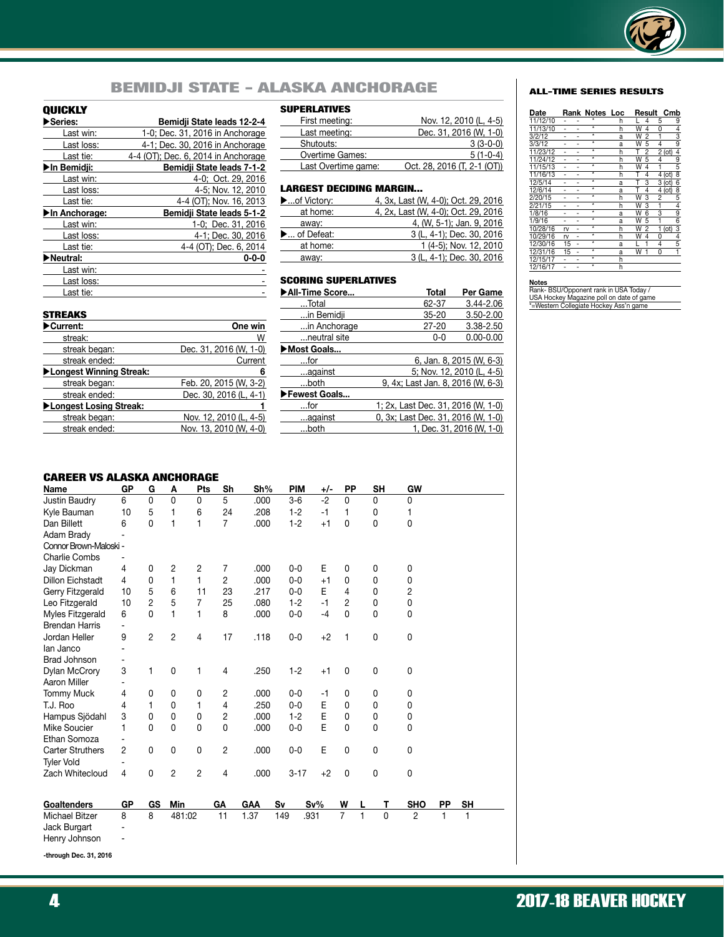

# BEMIDJI STATE - ALASKA ANCHORAGE ALL-TIME SERIES RESULTS

### QUICKLY

| ≻Series:      | Bemidji State leads 12-2-4          |
|---------------|-------------------------------------|
| Last win:     | 1-0; Dec. 31, 2016 in Anchorage     |
| Last loss:    | 4-1; Dec. 30, 2016 in Anchorage     |
| Last tie:     | 4-4 (OT); Dec. 6, 2014 in Anchorage |
| ▶In Bemidji:  | Bemidji State leads 7-1-2           |
| Last win:     | 4-0; Oct. 29, 2016                  |
| Last loss:    | 4-5; Nov. 12, 2010                  |
| Last tie:     | 4-4 (OT); Nov. 16, 2013             |
| In Anchorage: | Bemidji State leads 5-1-2           |
| Last win:     | 1-0; Dec. 31, 2016                  |
| Last loss:    | 4-1; Dec. 30, 2016                  |
| Last tie:     | 4-4 (OT); Dec. 6, 2014              |
| Neutral:      | $0 - 0 - 0$                         |
| Last win:     |                                     |
| Last loss:    |                                     |
| Last tie:     |                                     |

#### SUPERLATIVES

| First meeting:      | Nov. 12, 2010 (L, 4-5)      |
|---------------------|-----------------------------|
| Last meeting:       | Dec. 31, 2016 (W, 1-0)      |
| Shutouts:           | $3(3-0-0)$                  |
| Overtime Games:     | $5(1-0-4)$                  |
| Last Overtime game: | Oct. 28, 2016 (T, 2-1 (OT)) |

| <b>LARGEST DECIDING MARGIN</b> |                                     |
|--------------------------------|-------------------------------------|
| ▶of Victory:                   | 4, 3x, Last (W, 4-0); Oct. 29, 2016 |
| at home:                       | 4, 2x, Last (W, 4-0); Oct. 29, 2016 |
| away:                          | 4, (W, 5-1); Jan. 9, 2016           |
| ► of Defeat:                   | 3 (L, 4-1); Dec. 30, 2016           |
| at home:                       | 1 (4-5); Nov. 12, 2010              |
| away:                          | 3 (L, 4-1); Dec. 30, 2016           |

| <b>SCORING SUPERLATIVES</b> |                                    |                           |
|-----------------------------|------------------------------------|---------------------------|
| All-Time Score              | Total                              | Per Game                  |
| Total                       | 62-37                              | 3.44-2.06                 |
| in Bemidji                  | $35 - 20$                          | 3.50-2.00                 |
| in Anchorage                | $27 - 20$                          | 3.38-2.50                 |
| neutral site                | $0 - 0$                            | $0.00 - 0.00$             |
| ▶Most Goals                 |                                    |                           |
| …for                        |                                    | 6, Jan. 8, 2015 (W, 6-3)  |
| against                     |                                    | 5; Nov. 12, 2010 (L, 4-5) |
| both                        | 9, 4x; Last Jan. 8, 2016 (W, 6-3)  |                           |
| Fewest Goals                |                                    |                           |
| $$ for                      | 1; 2x, Last Dec. 31, 2016 (W, 1-0) |                           |
| against                     | 0, 3x; Last Dec. 31, 2016 (W, 1-0) |                           |
| both                        |                                    | 1, Dec. 31, 2016 (W, 1-0) |

#### **STREAKS**

| One win                |
|------------------------|
| W                      |
| Dec. 31, 2016 (W, 1-0) |
| Current                |
| 6                      |
| Feb. 20, 2015 (W, 3-2) |
| Dec. 30, 2016 (L, 4-1) |
|                        |
| Nov. 12, 2010 (L, 4-5) |
| Nov. 13, 2010 (W, 4-0) |
|                        |

#### CAREER VS ALASKA ANCHORAGE

| UMNEEN VJ MLMJNM M      |                |                |              | vwc            |                |            |            |        |                |   |           |                |    |           |  |
|-------------------------|----------------|----------------|--------------|----------------|----------------|------------|------------|--------|----------------|---|-----------|----------------|----|-----------|--|
| Name                    | GP             | G              | A            | Pts            | Sh             | Sh%        | <b>PIM</b> | +/-    | <b>PP</b>      |   | <b>SH</b> | GW             |    |           |  |
| Justin Baudry           | 6              | 0              | 0            | $\Omega$       | 5              | .000       | $3-6$      | $-2$   | 0              |   | 0         | 0              |    |           |  |
| Kyle Bauman             | 10             | 5              | 1            | 6              | 24             | .208       | $1 - 2$    | $-1$   | 1              |   | 0         | 1              |    |           |  |
| Dan Billett             | 6              | $\Omega$       | 1            | 1              | $\overline{7}$ | .000       | $1 - 2$    | $+1$   | $\Omega$       |   | 0         | 0              |    |           |  |
| Adam Brady              |                |                |              |                |                |            |            |        |                |   |           |                |    |           |  |
| Connor Brown-Maloski -  |                |                |              |                |                |            |            |        |                |   |           |                |    |           |  |
| <b>Charlie Combs</b>    |                |                |              |                |                |            |            |        |                |   |           |                |    |           |  |
| Jay Dickman             | 4              | 0              | 2            | 2              | 7              | .000       | $0 - 0$    | E      | 0              |   | 0         | 0              |    |           |  |
| <b>Dillon Eichstadt</b> | $\overline{4}$ | $\mathbf{0}$   | 1            | 1              | $\overline{c}$ | .000       | $0-0$      | $+1$   | $\mathbf{0}$   |   | 0         | 0              |    |           |  |
| Gerry Fitzgerald        | 10             | 5              | 6            | 11             | 23             | .217       | $0 - 0$    | E      | 4              |   | 0         | $\overline{2}$ |    |           |  |
| Leo Fitzgerald          | 10             | $\overline{c}$ | 5            | $\overline{7}$ | 25             | .080       | $1 - 2$    | $-1$   | 2              |   | 0         | 0              |    |           |  |
| Myles Fitzgerald        | 6              | 0              | 1            | 1              | 8              | .000       | $0-0$      | $-4$   | 0              |   | 0         | 0              |    |           |  |
| <b>Brendan Harris</b>   |                |                |              |                |                |            |            |        |                |   |           |                |    |           |  |
| Jordan Heller           | 9              | $\overline{2}$ | 2            | 4              | 17             | .118       | $0-0$      | $+2$   | 1              |   | 0         | 0              |    |           |  |
| lan Janco               |                |                |              |                |                |            |            |        |                |   |           |                |    |           |  |
| <b>Brad Johnson</b>     |                |                |              |                |                |            |            |        |                |   |           |                |    |           |  |
| <b>Dylan McCrory</b>    | 3              | 1              | 0            | 1              | 4              | .250       | $1 - 2$    | $+1$   | 0              |   | 0         | 0              |    |           |  |
| Aaron Miller            |                |                |              |                |                |            |            |        |                |   |           |                |    |           |  |
| <b>Tommy Muck</b>       | 4              | 0              | 0            | 0              | $\overline{2}$ | .000       | $0-0$      | $-1$   | 0              |   | 0         | 0              |    |           |  |
| T.J. Roo                | 4              | 1              | $\mathbf{0}$ | 1              | 4              | .250       | $0 - 0$    | E      | $\mathbf{0}$   |   | 0         | 0              |    |           |  |
| Hampus Sjödahl          | 3              | 0              | 0            | 0              | 2              | .000       | $1 - 2$    | E      | $\mathbf{0}$   |   | 0         | 0              |    |           |  |
| Mike Soucier            | 1              | 0              | 0            | $\Omega$       | 0              | .000       | $0-0$      | F      | $\Omega$       |   | 0         | 0              |    |           |  |
| Ethan Somoza            |                |                |              |                |                |            |            |        |                |   |           |                |    |           |  |
| <b>Carter Struthers</b> | 2              | 0              | 0            | 0              | 2              | .000       | $0-0$      | E      | 0              |   | 0         | 0              |    |           |  |
| <b>Tyler Vold</b>       |                |                |              |                |                |            |            |        |                |   |           |                |    |           |  |
| Zach Whitecloud         | 4              | 0              | 2            | $\overline{2}$ | 4              | .000       | $3 - 17$   | $+2$   | 0              |   | 0         | 0              |    |           |  |
|                         |                |                |              |                |                |            |            |        |                |   |           |                |    |           |  |
| Goaltenders             | <b>GP</b>      | GS             | Min          |                | GA             | <b>GAA</b> | Sv         | $Sv\%$ | W              | L | т         | <b>SHO</b>     | PP | <b>SH</b> |  |
| Michael Bitzer          | 8              | 8              | 481:02       |                | 11             | 1.37       | 149        | .931   | $\overline{7}$ | 1 | 0         | $\overline{2}$ | 1  | 1         |  |
| Jack Burgart            |                |                |              |                |                |            |            |        |                |   |           |                |    |           |  |
| Henry Johnson           | $\overline{a}$ |                |              |                |                |            |            |        |                |   |           |                |    |           |  |

**-through Dec. 31, 2016**

| Date              | Rank | Notes Loc          |   |                         | Result | Cmb                     |                    |
|-------------------|------|--------------------|---|-------------------------|--------|-------------------------|--------------------|
| 11/12/10          |      |                    | h |                         | 4      | 5                       | 9                  |
| 11/13/10          |      | ¥                  | h | W                       | 4      | 0                       | 4                  |
| 3/2/12            |      | $\overline{\ast}$  | a | W                       | 2      | 1                       | $\frac{3}{9}$      |
| $\frac{3}{3}{12}$ |      | ∓                  | a | W                       | 5      | 4                       |                    |
| 11/23/12          |      | ¥                  | h | T                       | 2      | 2<br>(ot)               | $\frac{4}{9}$      |
| 11/24/12          |      | ₹                  | h | W                       | 5      | 4                       |                    |
| 11/15/13          |      | ₹                  | h | W                       | 4      | 1                       |                    |
| 11/16/13          |      | ¥                  | h | T                       | 4      | 4<br>(ot)               | 8                  |
| 12/5/14           |      | ₹                  | a | T                       | 3      | 3<br>(ot)               | 6                  |
| 12/6/14           |      | ₹                  | a | Т                       | 4      | $\overline{4}$ (ot)     | $\overline{\bf 8}$ |
| 2/20/15           |      | ¥                  | h | W                       | 3      | 2                       | $\frac{5}{4}$      |
| 2/21/15           |      | ∓                  | h | W                       | 3      | $\overline{\mathbf{1}}$ |                    |
| 1/8/16            |      | ₹                  | a | W                       | 6      | 3                       |                    |
| 1/9/16            |      | ¥                  | a | W                       | 5      | 1                       | $\frac{6}{3}$      |
| 10/28/16          | rv   | $\overline{\star}$ | h | W                       | 2      | 1<br>(ot)               |                    |
| 10/29/16          | rv   | ∓                  | h | W                       | 4      | 0                       |                    |
| 12/30/16          | 15   | ¥                  | a |                         |        | 4                       | $\frac{5}{1}$      |
| 12/31/16          | 15   | ∓                  | a | $\overline{\mathsf{w}}$ | 1      | 0                       |                    |
| 12/15/17          |      | ₹                  | h |                         |        |                         |                    |
| 12/16/17          |      | ¥                  | h |                         |        |                         |                    |

**Notes** Rank- BSU/Opponent rank in USA Today / USA Hockey Magazine poll on date of game \*=Western Collegiate Hockey Ass'n game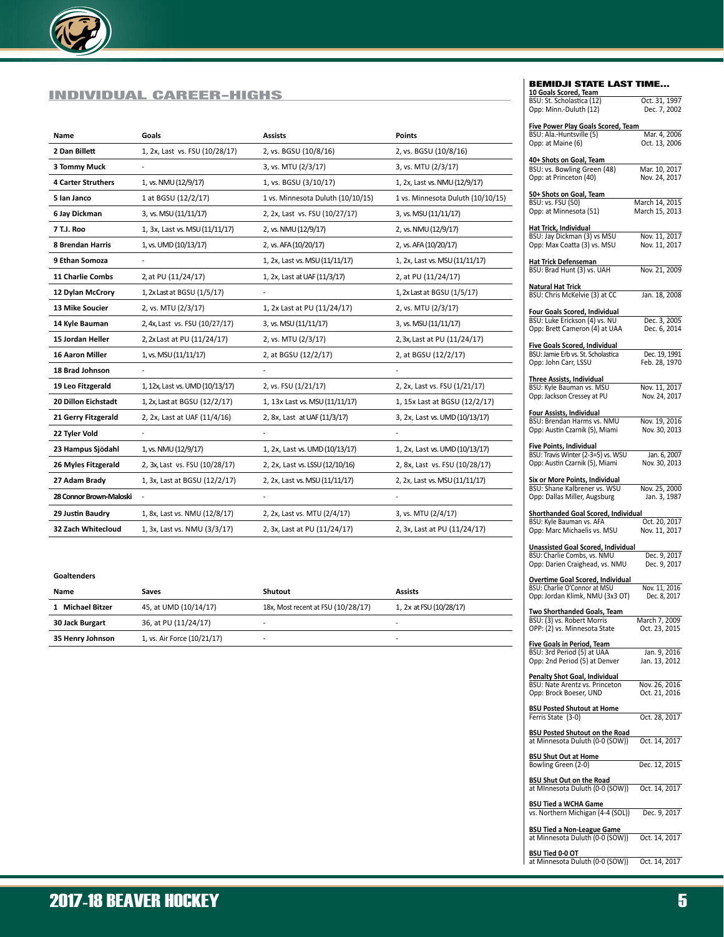

### INDIVIDUAL CAREER-HIGHS

| Name                      | Goals                           | <b>Assists</b>                    | <b>Points</b>                     |
|---------------------------|---------------------------------|-----------------------------------|-----------------------------------|
| 2 Dan Billett             | 1, 2x, Last vs. FSU (10/28/17)  | 2, vs. BGSU (10/8/16)             | 2, vs. BGSU (10/8/16)             |
| 3 Tommy Muck              |                                 | 3, vs. MTU (2/3/17)               | 3, vs. MTU (2/3/17)               |
| <b>4 Carter Struthers</b> | 1, vs. NMU (12/9/17)            | 1, vs. BGSU (3/10/17)             | 1, 2x, Last vs. NMU (12/9/17)     |
| 5 Ian Janco               | 1 at BGSU (12/2/17)             | 1 vs. Minnesota Duluth (10/10/15) | 1 vs. Minnesota Duluth (10/10/15) |
| 6 Jay Dickman             | 3, vs. MSU (11/11/17)           | 2, 2x, Last vs. FSU (10/27/17)    | 3, vs. MSU (11/11/17)             |
| 7 T.J. Roo                | 1, 3x, Last vs. MSU (11/11/17)  | 2, vs. NMU (12/9/17)              | 2, vs. NMU (12/9/17)              |
| 8 Brendan Harris          | 1, vs. UMD (10/13/17)           | 2, vs. AFA (10/20/17)             | 2, vs. AFA (10/20/17)             |
| 9 Ethan Somoza            |                                 | 1, 2x, Last vs. MSU (11/11/17)    | 1, 2x, Last vs. MSU (11/11/17)    |
| 11 Charlie Combs          | 2, at PU (11/24/17)             | 1, 2x, Last at UAF (11/3/17)      | 2, at PU (11/24/17)               |
| 12 Dylan McCrory          | 1, 2x Last at BGSU (1/5/17)     | $\overline{\phantom{a}}$          | 1, 2x Last at BGSU (1/5/17)       |
| 13 Mike Soucier           | 2, vs. MTU (2/3/17)             | 1, 2x Last at PU (11/24/17)       | 2, vs. MTU (2/3/17)               |
| 14 Kyle Bauman            | 2, 4x, Last vs. FSU (10/27/17)  | 3, vs. MSU (11/11/17)             | 3, vs. MSU (11/11/17)             |
| 15 Jordan Heller          | 2, 2x Last at PU (11/24/17)     | 2, vs. MTU (2/3/17)               | 2, 3x, Last at PU (11/24/17)      |
| <b>16 Aaron Miller</b>    | 1, vs. MSU (11/11/17)           | 2, at BGSU (12/2/17)              | 2, at BGSU (12/2/17)              |
| 18 Brad Johnson           |                                 |                                   |                                   |
| 19 Leo Fitzgerald         | 1, 12x, Last vs. UMD (10/13/17) | 2, vs. FSU (1/21/17)              | 2, 2x, Last vs. FSU (1/21/17)     |
| 20 Dillon Eichstadt       | 1, 2x, Last at BGSU (12/2/17)   | 1, 13x Last vs. MSU (11/11/17)    | 1, 15x Last at BGSU (12/2/17)     |
| 21 Gerry Fitzgerald       | 2, 2x, Last at UAF (11/4/16)    | 2, 8x, Last at UAF (11/3/17)      | 3, 2x, Last vs. UMD (10/13/17)    |
| 22 Tyler Vold             |                                 |                                   |                                   |
| 23 Hampus Sjödahl         | 1, vs. NMU (12/9/17)            | 1, 2x, Last vs. UMD (10/13/17)    | 1, 2x, Last vs. UMD (10/13/17)    |
| 26 Myles Fitzgerald       | 2, 3x, Last vs. FSU (10/28/17)  | 2, 2x, Last vs. LSSU (12/10/16)   | 2, 8x, Last vs. FSU (10/28/17)    |
| 27 Adam Brady             | 1, 3x, Last at BGSU (12/2/17)   | 2, 2x, Last vs. MSU (11/11/17)    | 2, 2x, Last vs. MSU (11/11/17)    |
| 28 Connor Brown-Maloski   |                                 |                                   |                                   |
| 29 Justin Baudry          | 1, 8x, Last vs. NMU (12/8/17)   | 2, 2x, Last vs. MTU (2/4/17)      | 3, vs. MTU (2/4/17)               |
| 32 Zach Whitecloud        | 1, 3x, Last vs. NMU (3/3/17)    | 2, 3x, Last at PU (11/24/17)      | 2, 3x, Last at PU (11/24/17)      |

#### **Goaltenders**

| Name             | Saves                       | Shutout                            | <b>Assists</b>          |
|------------------|-----------------------------|------------------------------------|-------------------------|
| 1 Michael Bitzer | 45, at UMD (10/14/17)       | 18x, Most recent at FSU (10/28/17) | 1, 2x at FSU (10/28/17) |
| 30 Jack Burgart  | 36, at PU (11/24/17)        | $\overline{\phantom{0}}$           |                         |
| 35 Henry Johnson | 1, vs. Air Force (10/21/17) |                                    |                         |

#### BEMIDJI STATE LAST TIME...

| 10 Goals Scored, Team                                                    |                                |
|--------------------------------------------------------------------------|--------------------------------|
| BSU: St. Scholastica (12)<br>Opp: Minn.-Duluth (12)                      | Oct. 31, 1997<br>Dec. 7, 2002  |
| <b>Five Power Play Goals Scored, Team</b>                                |                                |
| BSU: Ala.-Huntsville (5)<br>Opp: at Maine (6)                            | Mar. 4, 2006<br>Oct. 13, 2006  |
| 40+ Shots on Goal, Team                                                  |                                |
| BSU: vs. Bowling Green (48)<br>Opp: at Princeton (40)                    | Mar. 10, 2017<br>Nov. 24, 2017 |
|                                                                          |                                |
| 50+ Shots on Goal, Team<br>BSU: vs. FSU (50)                             | March 14, 2015                 |
| Opp: at Minnesota (51)                                                   | March 15, 2013                 |
| Hat Trick, Individual                                                    |                                |
| BSU: Jay Dickman (3) vs MSU<br>Opp: Max Coatta (3) vs. MSU               | Nov. 11, 2017<br>Nov. 11, 2017 |
| Hat Trick Defenseman                                                     |                                |
| BSU: Brad Hunt (3) vs. UAH                                               | Nov. 21, 2009                  |
| Natural Hat Trick<br>BSU: Chris McKelvie (3) at CC                       | Jan. 18, 2008                  |
|                                                                          |                                |
| Four Goals Scored, Individual<br>BSU: Luke Erickson (4) vs. NU           | Dec. 3, 2005                   |
| Opp: Brett Cameron (4) at UAA                                            | Dec. 6, 2014                   |
| <b>Five Goals Scored, Individual</b>                                     |                                |
| BSU: Jamie Erb vs. St. Scholastica                                       | Dec. 19, 1991                  |
| Opp: John Carr, LSSU                                                     | Feb. 28, 1970                  |
| <b>Three Assists, Individual</b>                                         |                                |
| BSU: Kyle Bauman vs. MSU<br>Opp: Jackson Cressey at PU                   | Nov. 11, 2017<br>Nov. 24, 2017 |
|                                                                          |                                |
| <u>Four Assists, Individual</u><br>BSU: Brendan Harms vs. NMU            | Nov. 19, 2016                  |
| Opp: Austin Czarnik (5), Miami                                           | Nov. 30, 2013                  |
| Five Points, Individual                                                  |                                |
| BSU: Travis Winter (2-3=5) vs. WSU                                       | Jan. 6, 2007                   |
|                                                                          |                                |
| Opp: Austin Czarnik (5), Miami                                           | Nov. 30, 2013                  |
| Six or More Points, Individual                                           |                                |
| BSU: Shane Kalbrener vs. WSU                                             | Nov. 25, 2000                  |
| Opp: Dallas Miller, Augsburg                                             | Jan. 3, 1987                   |
| Shorthanded Goal Scored, Individual                                      |                                |
| BSU: Kyle Bauman vs. AFA<br>Opp: Marc Michaelis vs. MSU                  | Oct. 20, 2017<br>Nov. 11, 2017 |
|                                                                          |                                |
| Unassisted Goal Scored, Individual<br>BSU: Charlie Combs, vs. NMU        | Dec. 9, 2017                   |
| Opp: Darien Craighead, vs. NMU                                           | Dec. 9, 2017                   |
| Overtime Goal Scored, Individual                                         |                                |
| BSU: Charlie O'Connor at MSU<br>Opp: Jordan Klimk, NMU (3x3 OT)          | Nov. 11, 2016<br>Dec. 8, 2017  |
| Two Shorthanded Goals, Team                                              |                                |
| BSU: (3) vs. Robert Morris<br>OPP: (2) vs. Minnesota State               | March 7, 2009<br>Oct. 23, 2015 |
|                                                                          |                                |
| <b>Five Goals in Period, Team</b><br>BSU: 3rd Period (5) at UAA          | Jan. 9, 2016                   |
| Opp: 2nd Period (5) at Denver                                            | Jan. 13, 2012                  |
| <b>Penalty Shot Goal, Individual</b>                                     |                                |
| BSU: Nate Arentz vs. Princeton<br>Opp: Brock Boeser, UND                 | Nov. 26, 2016<br>Oct. 21, 2016 |
| <b>BSU Posted Shutout at Home</b>                                        |                                |
| Ferris State (3-0)                                                       | Oct. 28, 2017                  |
| <b>BSU Posted Shutout on the Road</b><br>at Minnesota Duluth (0-0 (SOW)) | Oct. 14, 2017                  |
| <b>BSU Shut Out at Home</b>                                              |                                |
| Bowling Green (2-0)                                                      | Dec. 12, 2015                  |
| <b>BSU Shut Out on the Road</b><br>at MInnesota Duluth (0-0 (SOW))       | Oct. 14, 2017                  |
| <b>BSU Tied a WCHA Game</b>                                              |                                |
| vs. Northern Michigan (4-4 (SOL))                                        | Dec. 9, 2017                   |
| <b>BSU Tied a Non-League Game</b><br>at Minnesota Duluth (0-0 (SOW))     | Oct. 14, 2017                  |

**BSU Tied 0-0 OT**<br>at Minnesota Duluth (0-0 (SOW)) Oct. 14, 2017